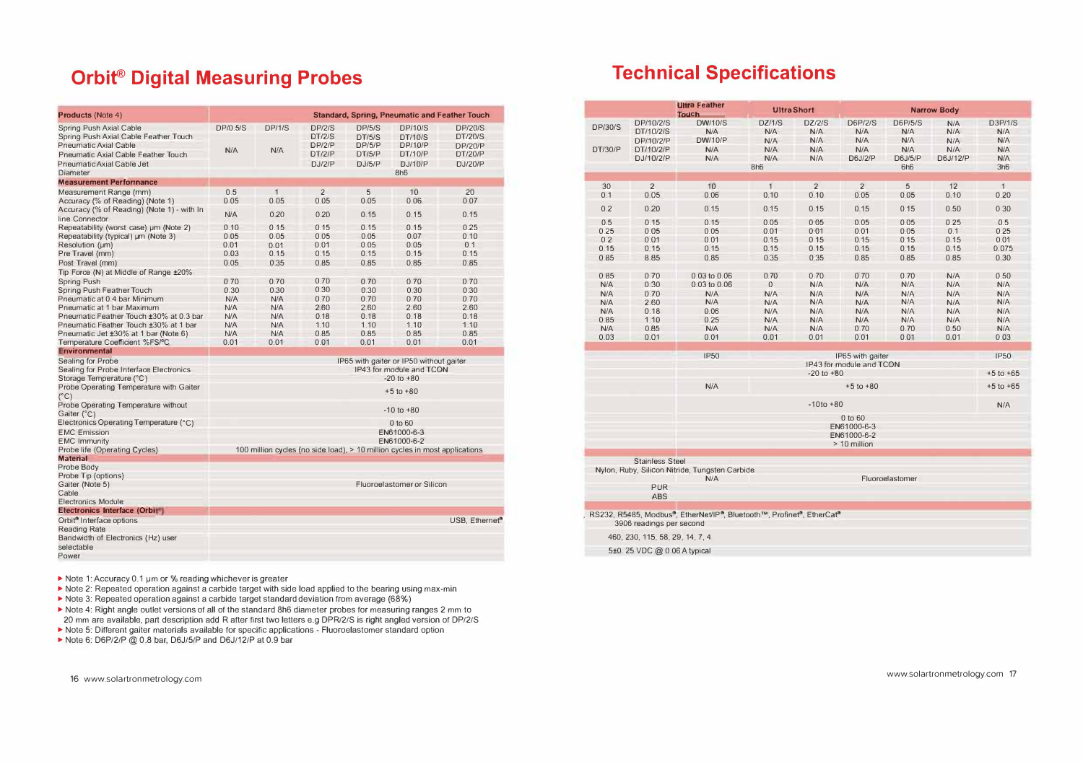## **Orbit<sup>®</sup> Digital Measuring Probes**

| <b>Products (Note 4)</b>                                            | Standard, Spring, Pneumatic and Feather Touch |                |                  |                  |                                                                             |                                  |  |
|---------------------------------------------------------------------|-----------------------------------------------|----------------|------------------|------------------|-----------------------------------------------------------------------------|----------------------------------|--|
| Spring Push Axial Cable<br>Spring Push Axial Cable Feather Touch    | DP/0 5/S                                      | DP/1/S         | DP/2/S<br>DT/2/S | DP/5/S<br>DT/5/S | <b>DP/10/S</b><br>DT/10/S                                                   | <b>DP/20/S</b><br><b>DT/20/S</b> |  |
| Pneumatic Axial Cable<br>Pneumatic Axial Cable Feather Touch        | N/A                                           | N/A            | DP/2/P<br>DT/2/P | DP/5/P<br>DT/5/P | DP/10/P<br>DT/10/P                                                          | <b>DP/20/P</b><br><b>DT/20/P</b> |  |
| Pneumatic Axial Cable Jet<br>Diameter                               |                                               |                | D.I/2/P          | D.I/5/P          | D.I/10/P<br>8h <sub>6</sub>                                                 | D.I/20/P                         |  |
| <b>Measurement Performance</b>                                      |                                               |                |                  |                  |                                                                             |                                  |  |
| Measurement Range (mm)                                              | 0.5                                           | $\overline{1}$ | $\overline{2}$   | 5                | 10                                                                          | 20                               |  |
| Accuracy (% of Reading) (Note 1)                                    | 0.05                                          | 0.05           | 0.05             | 0.05             | 0.06                                                                        | 0.07                             |  |
| Accuracy (% of Reading) (Note 1) - with In<br>line Connector        | N/A                                           | 0.20           | 0.20             | 0.15             | 0.15                                                                        | 0.15                             |  |
| Repeatability (worst case) um (Note 2)                              | 010                                           | 0.15           | 0.15             | 0.15             | 0.15                                                                        | 0.25                             |  |
| Repeatability (typical) um (Note 3)                                 | 0.05                                          | 0.05           | 0.05             | 0.05             | 0.07                                                                        | 0.10                             |  |
| Resolution (um)                                                     | 0.01                                          | 0.01           | 0.01             | 0.05             | 0.05                                                                        | 0 <sub>1</sub>                   |  |
| Pre Travel (mm)                                                     | 0.03                                          | 0.15           | 0.15             | 0.15             | 0.15                                                                        | 0.15                             |  |
| Post Travel (mm)                                                    | 0.05                                          | 0.35           | 0.85             | 0.85             | 0.85                                                                        | 0.85                             |  |
| Tip Force (N) at Middle of Range ±20%                               |                                               |                |                  |                  |                                                                             |                                  |  |
| Spring Push                                                         | 070                                           | 0.70           | 070              | 070              | 0.70                                                                        | 070                              |  |
| Spring Push Feather Touch                                           | 0.30                                          | 0.30           | 0.30             | 0.30             | 0.30                                                                        | 0.30                             |  |
| Pneumatic at 0.4 bar Minimum                                        | N/A                                           | N/A            | 070              | 070              | 0.70                                                                        | 070                              |  |
| Pneumatic at 1 har Maximum                                          | N/A                                           | N/A            | 260              | 260              | 260                                                                         | 260                              |  |
| Pneumatic Feather Touch ±30% at 0.3 bar                             | N/A                                           | N/A            | 0.18             | 0.18             | 0.18                                                                        | 0.18                             |  |
| Pneumatic Feather Touch ±30% at 1 bar                               | <b>N/A</b>                                    | N/A            | 110              | 1 1 0            | 1 1 0                                                                       | 1 1 0                            |  |
| Pneumatic Jet ±30% at 1 bar (Note 6)                                | <b>N/A</b>                                    | N/A            | 0.85             | 0.85             | 0.85                                                                        | 0.85                             |  |
| Temperature Coefficient %FS/°C                                      | 0.01                                          | 0.01           | 0.01             | 0.01             | 0.01                                                                        | 0.01                             |  |
| <b>Environmental</b>                                                |                                               |                |                  |                  |                                                                             |                                  |  |
| Sealing for Probe                                                   |                                               |                |                  |                  | IP65 with gaiter or IP50 without gaiter                                     |                                  |  |
| Sealing for Probe Interface Electronics                             | IP43 for module and TCON<br>$-20$ to $+80$    |                |                  |                  |                                                                             |                                  |  |
| Storage Temperature (°C)<br>Probe Operating Temperature with Gaiter | $+5$ to $+80$                                 |                |                  |                  |                                                                             |                                  |  |
| $(^{\circ}C)$<br>Probe Operating Temperature without                |                                               |                |                  |                  |                                                                             |                                  |  |
| Gaiter (°C)                                                         | $-10$ to $+80$                                |                |                  |                  |                                                                             |                                  |  |
| Electronics Operating Temperature (°C)                              |                                               |                |                  |                  | $0$ to $60$                                                                 |                                  |  |
| <b>FMC Emission</b>                                                 | FN61000-6-3                                   |                |                  |                  |                                                                             |                                  |  |
| <b>EMC Immunity</b>                                                 | EN61000-6-2                                   |                |                  |                  |                                                                             |                                  |  |
| Probe life (Operating Cycles)                                       |                                               |                |                  |                  | 100 million cycles (no side load), > 10 million cycles in most applications |                                  |  |
| <b>Material</b>                                                     |                                               |                |                  |                  |                                                                             |                                  |  |
| Probe Body                                                          |                                               |                |                  |                  |                                                                             |                                  |  |
| Probe Tip (options)                                                 |                                               |                |                  |                  |                                                                             |                                  |  |
| Gaiter (Note 5)                                                     |                                               |                |                  |                  | Fluoroelastomer or Silicon                                                  |                                  |  |
| Cable                                                               |                                               |                |                  |                  |                                                                             |                                  |  |
| <b>Flectronics Module</b>                                           |                                               |                |                  |                  |                                                                             |                                  |  |
| Electronics Interface (Orbit <sup>+</sup> )                         |                                               |                |                  |                  |                                                                             |                                  |  |
| Orbit <sup>®</sup> Interface options                                |                                               |                |                  |                  |                                                                             | USB. Ethernet <sup>®</sup>       |  |
| <b>Reading Rate</b><br>Bandwidth of Electronics (Hz) user           |                                               |                |                  |                  |                                                                             |                                  |  |
| selectable                                                          |                                               |                |                  |                  |                                                                             |                                  |  |
| Power                                                               |                                               |                |                  |                  |                                                                             |                                  |  |

- Note 1: Accuracy 0.1 µm or % reading whichever is greater
- In Note 2: Repeated operation against a carbide target with side load applied to the bearing using max-min
- Note 3: Repeated operation against a carbide target standard deviation from average (68%)
- > Note 4: Right angle outlet versions of all of the standard 8h6 diameter probes for measuring ranges 2 mm to 20 mm are available, part description add R after first two letters e.g DPR/2/S is right angled version of DP/2/S
- Note 5: Different gaiter materials available for specific applications Fluoroelastomer standard option
- Note 6: D6P/2/P @ 0.8 bar, D6J/5/P and D6J/12/P at 0.9 bar

## **Technical Specifications**

|                           | <b>Ultra Feather</b><br><b>Ultra Short</b><br><b>Touch</b> |                                                                                    |                             | <b>Narrow Body</b>                 |                              |                              |                          |                                     |
|---------------------------|------------------------------------------------------------|------------------------------------------------------------------------------------|-----------------------------|------------------------------------|------------------------------|------------------------------|--------------------------|-------------------------------------|
| <b>DP/30/S</b><br>DT/30/P | DP/10/2/S<br>DT/10/2/S<br>DP/10/2/P<br>DT/10/2/P           | <b>DW/10/S</b><br>N/A<br>DW/10/P<br>N/A                                            | DZ/1/S<br>N/A<br>N/A<br>N/A | <b>DZ/2/S</b><br>N/A<br>N/A<br>N/A | D6P/2/S<br>N/A<br>N/A<br>N/A | D6P/5/S<br>N/A<br>N/A<br>N/A | N/A<br>N/A<br>N/A<br>N/A | D3P/1/S<br>N/A<br>N/A<br><b>N/A</b> |
|                           | DJ/10/2/P                                                  | N/A                                                                                | N/A<br>8h6                  | N/A                                | <b>D6J/2/P</b>               | D6J/5/P<br>6h <sub>6</sub>   | D6J/12/P                 | N/A<br>3h6                          |
|                           |                                                            |                                                                                    |                             |                                    |                              |                              |                          |                                     |
| 30                        | $\overline{2}$                                             | 10                                                                                 | 1                           | $\overline{2}$                     | $\overline{2}$               | 5                            | 12                       | 1                                   |
| 0.1                       | 0.05                                                       | 0.06                                                                               | 0.10                        | 0.10                               | 0.05                         | 0.05                         | 0.10                     | 0.20                                |
| 0.2                       | 0.20                                                       | 0.15                                                                               | 0.15                        | 0.15                               | 0.15                         | 0.15                         | 0.50                     | 0.30                                |
| 0.5                       | 0.15                                                       | 0.15                                                                               | 0.05                        | 0.05                               | 0.05                         | 0.05                         | 0.25                     | 0.5                                 |
| 0.25                      | 0.05                                                       | 0.05                                                                               | 0.01                        | 0.01                               | 0.01                         | 0.05                         | 0.1                      | 0.25                                |
| 0.2                       | 0.01                                                       | 0.01                                                                               | 0.15                        | 0.15                               | 0.15                         | 0.15                         | 0.15                     | 0.01                                |
| 0.15                      | 0.15                                                       | 0.15                                                                               | 0.15                        | 0.15                               | 0.15                         | 0.15                         | 0.15                     | 0.075                               |
| 0.85                      | 8.85                                                       | 0.85                                                                               | 0.35                        | 0.35                               | 0.85                         | 0.85                         | 0.85                     | 0.30                                |
| 0.85                      | 0.70                                                       | 0.03 to 0.06                                                                       | 0.70                        | 0.70                               | 0.70                         | 0.70                         | N/A                      | 0.50                                |
| N/A                       | 0.30                                                       | 0.03 to 0.06                                                                       | $\mathbf 0$                 | N/A                                | N/A                          | N/A                          | N/A                      | N/A                                 |
| N/A                       | 0.70                                                       | N/A                                                                                | N/A                         | N/A                                | N/A                          | N/A                          | N/A                      | N/A                                 |
| N/A                       | 2.60                                                       | N/A                                                                                | N/A                         | N/A                                | N/A                          | N/A                          | N/A                      | N/A                                 |
| N/A<br>0.85               | 0.18<br>1.10                                               | 0.06<br>0.25                                                                       | N/A<br>N/A                  | N/A<br>N/A                         | N/A<br>N/A                   | N/A<br>N/A                   | N/A<br>N/A               | N/A<br>N/A                          |
| N/A                       | 0.85                                                       | N/A                                                                                | N/A                         | N/A                                | 0.70                         | 0.70                         | 0.50                     | N/A                                 |
| 0.03                      | 0.01                                                       | 0.01                                                                               | 0.01                        | 0.01                               | 0.01                         | 0.01                         | 0.01                     | 0.03                                |
|                           |                                                            | <b>IP50</b>                                                                        |                             |                                    | IP65 with gaiter             |                              |                          | <b>IP50</b>                         |
|                           |                                                            |                                                                                    |                             | $-20$ to $+80$                     | IP43 for module and TCON     |                              |                          | $+5$ to $+65$                       |
|                           |                                                            | N/A                                                                                |                             |                                    | $+5$ to $+80$                |                              |                          | $+5$ to $+65$                       |
|                           |                                                            |                                                                                    |                             | $-10to +80$                        |                              |                              |                          | N/A                                 |
|                           |                                                            |                                                                                    |                             |                                    | 0 to 60                      |                              |                          |                                     |
|                           |                                                            |                                                                                    |                             |                                    | FN61000-6-3                  |                              |                          |                                     |
|                           |                                                            |                                                                                    |                             |                                    | EN61000-6-2                  |                              |                          |                                     |
|                           |                                                            |                                                                                    |                             |                                    | > 10 million                 |                              |                          |                                     |
|                           | <b>Stainless Steel</b>                                     |                                                                                    |                             |                                    |                              |                              |                          |                                     |
|                           |                                                            | Nylon, Ruby, Silicon Nitride, Tungsten Carbide<br>N/A                              |                             |                                    |                              | Fluoroelastomer              |                          |                                     |
|                           | <b>PUR</b>                                                 |                                                                                    |                             |                                    |                              |                              |                          |                                     |
|                           | <b>ABS</b>                                                 |                                                                                    |                             |                                    |                              |                              |                          |                                     |
|                           | 3906 readings per second                                   | RS232, R5485, Modbus <sup>®</sup> , EtherNet/IP®, Bluetooth™, Profinet®, EtherCat® |                             |                                    |                              |                              |                          |                                     |
|                           | 460, 230, 115, 58, 29, 14, 7, 4                            |                                                                                    |                             |                                    |                              |                              |                          |                                     |
|                           |                                                            |                                                                                    |                             |                                    |                              |                              |                          |                                     |
|                           | 5±0. 25 VDC @ 0.06 A typical                               |                                                                                    |                             |                                    |                              |                              |                          |                                     |